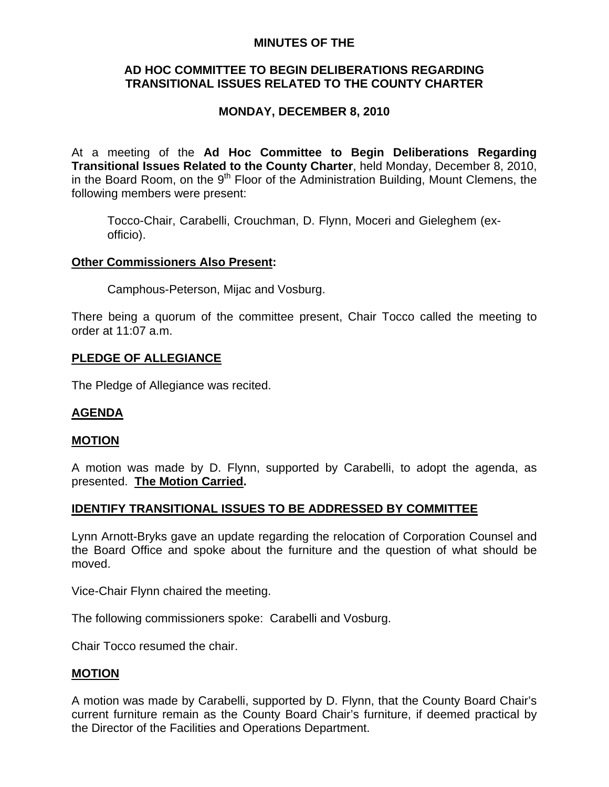### **MINUTES OF THE**

# **AD HOC COMMITTEE TO BEGIN DELIBERATIONS REGARDING TRANSITIONAL ISSUES RELATED TO THE COUNTY CHARTER**

# **MONDAY, DECEMBER 8, 2010**

At a meeting of the **Ad Hoc Committee to Begin Deliberations Regarding Transitional Issues Related to the County Charter**, held Monday, December 8, 2010, in the Board Room, on the 9<sup>th</sup> Floor of the Administration Building, Mount Clemens, the following members were present:

Tocco-Chair, Carabelli, Crouchman, D. Flynn, Moceri and Gieleghem (exofficio).

## **Other Commissioners Also Present:**

Camphous-Peterson, Mijac and Vosburg.

There being a quorum of the committee present, Chair Tocco called the meeting to order at 11:07 a.m.

## **PLEDGE OF ALLEGIANCE**

The Pledge of Allegiance was recited.

### **AGENDA**

### **MOTION**

A motion was made by D. Flynn, supported by Carabelli, to adopt the agenda, as presented. **The Motion Carried.** 

### **IDENTIFY TRANSITIONAL ISSUES TO BE ADDRESSED BY COMMITTEE**

Lynn Arnott-Bryks gave an update regarding the relocation of Corporation Counsel and the Board Office and spoke about the furniture and the question of what should be moved.

Vice-Chair Flynn chaired the meeting.

The following commissioners spoke: Carabelli and Vosburg.

Chair Tocco resumed the chair.

### **MOTION**

A motion was made by Carabelli, supported by D. Flynn, that the County Board Chair's current furniture remain as the County Board Chair's furniture, if deemed practical by the Director of the Facilities and Operations Department.